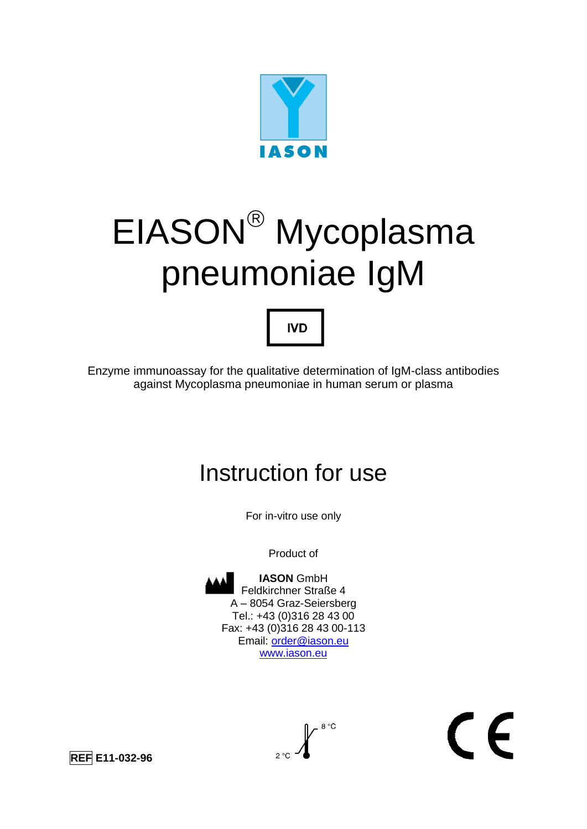

# EIASON<sup>®</sup> Mycoplasma pneumoniae IgM



Enzyme immunoassay for the qualitative determination of IgM-class antibodies against Mycoplasma pneumoniae in human serum or plasma

# Instruction for use

For in-vitro use only

Product of



# $\epsilon$

**REF E11-032-96**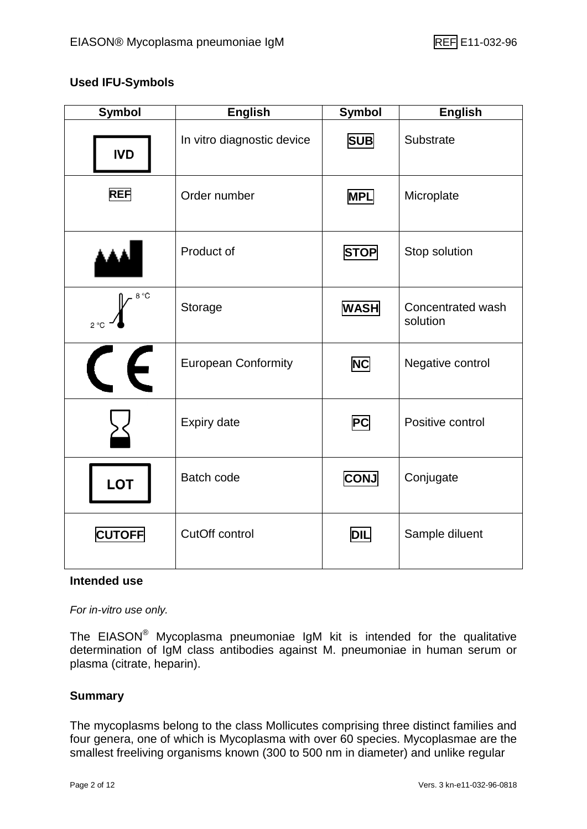#### **Used IFU-Symbols**

| <b>Symbol</b>        | <b>English</b>             | <b>Symbol</b>            | <b>English</b>                |
|----------------------|----------------------------|--------------------------|-------------------------------|
| <b>IVD</b>           | In vitro diagnostic device | <b>SUB</b>               | Substrate                     |
| <b>REF</b>           | Order number               | <b>MPL</b>               | Microplate                    |
|                      | Product of                 | <b>STOP</b>              | Stop solution                 |
| 8 °C<br>$2^{\circ}C$ | Storage                    | <b>WASH</b>              | Concentrated wash<br>solution |
| $\epsilon$           | <b>European Conformity</b> | <b>NC</b>                | Negative control              |
|                      | <b>Expiry date</b>         | $\overline{\mathsf{PC}}$ | Positive control              |
| <b>LOT</b>           | Batch code                 | <b>CONJ</b>              | Conjugate                     |
| <b>CUTOFF</b>        | CutOff control             | <b>DIL</b>               | Sample diluent                |

#### **Intended use**

*For in-vitro use only.*

The EIASON® Mycoplasma pneumoniae IgM kit is intended for the qualitative determination of IgM class antibodies against M. pneumoniae in human serum or plasma (citrate, heparin).

#### **Summary**

The mycoplasms belong to the class Mollicutes comprising three distinct families and four genera, one of which is Mycoplasma with over 60 species. Mycoplasmae are the smallest freeliving organisms known (300 to 500 nm in diameter) and unlike regular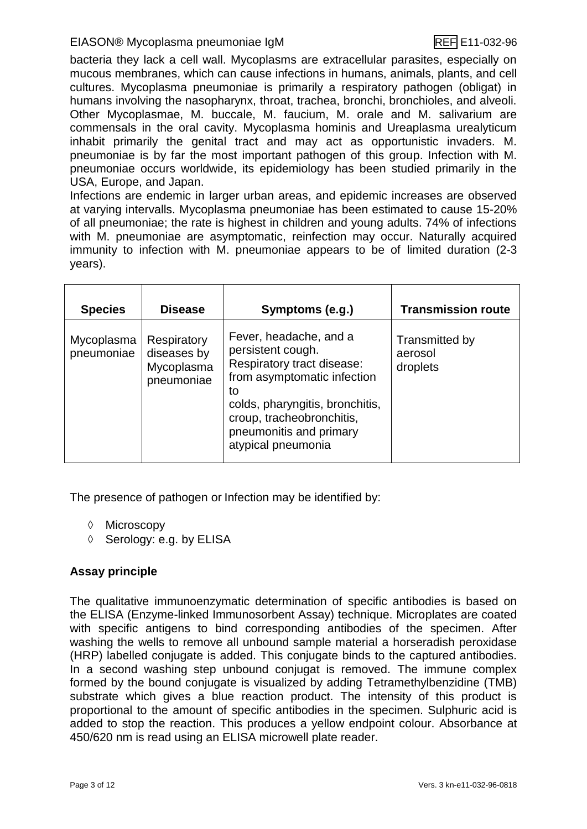#### EIASON® Mycoplasma pneumoniae IgM REF E11-032-96

bacteria they lack a cell wall. Mycoplasms are extracellular parasites, especially on mucous membranes, which can cause infections in humans, animals, plants, and cell cultures. Mycoplasma pneumoniae is primarily a respiratory pathogen (obligat) in humans involving the nasopharynx, throat, trachea, bronchi, bronchioles, and alveoli. Other Mycoplasmae, M. buccale, M. faucium, M. orale and M. salivarium are commensals in the oral cavity. Mycoplasma hominis and Ureaplasma urealyticum inhabit primarily the genital tract and may act as opportunistic invaders. M. pneumoniae is by far the most important pathogen of this group. Infection with M. pneumoniae occurs worldwide, its epidemiology has been studied primarily in the USA, Europe, and Japan.

Infections are endemic in larger urban areas, and epidemic increases are observed at varying intervalls. Mycoplasma pneumoniae has been estimated to cause 15-20% of all pneumoniae; the rate is highest in children and young adults. 74% of infections with M. pneumoniae are asymptomatic, reinfection may occur. Naturally acquired immunity to infection with M. pneumoniae appears to be of limited duration (2-3 years).

| <b>Species</b>           | <b>Disease</b>                                         | Symptoms (e.g.)                                                                                                                                                                                                                 | <b>Transmission route</b>             |
|--------------------------|--------------------------------------------------------|---------------------------------------------------------------------------------------------------------------------------------------------------------------------------------------------------------------------------------|---------------------------------------|
| Mycoplasma<br>pneumoniae | Respiratory<br>diseases by<br>Mycoplasma<br>pneumoniae | Fever, headache, and a<br>persistent cough.<br>Respiratory tract disease:<br>from asymptomatic infection<br>to<br>colds, pharyngitis, bronchitis,<br>croup, tracheobronchitis,<br>pneumonitis and primary<br>atypical pneumonia | Transmitted by<br>aerosol<br>droplets |

The presence of pathogen or Infection may be identified by:

- ♦ Microscopy
- $\Diamond$  Serology: e.g. by ELISA

#### **Assay principle**

The qualitative immunoenzymatic determination of specific antibodies is based on the ELISA (Enzyme-linked Immunosorbent Assay) technique. Microplates are coated with specific antigens to bind corresponding antibodies of the specimen. After washing the wells to remove all unbound sample material a horseradish peroxidase (HRP) labelled conjugate is added. This conjugate binds to the captured antibodies. In a second washing step unbound conjugat is removed. The immune complex formed by the bound conjugate is visualized by adding Tetramethylbenzidine (TMB) substrate which gives a blue reaction product. The intensity of this product is proportional to the amount of specific antibodies in the specimen. Sulphuric acid is added to stop the reaction. This produces a yellow endpoint colour. Absorbance at 450/620 nm is read using an ELISA microwell plate reader.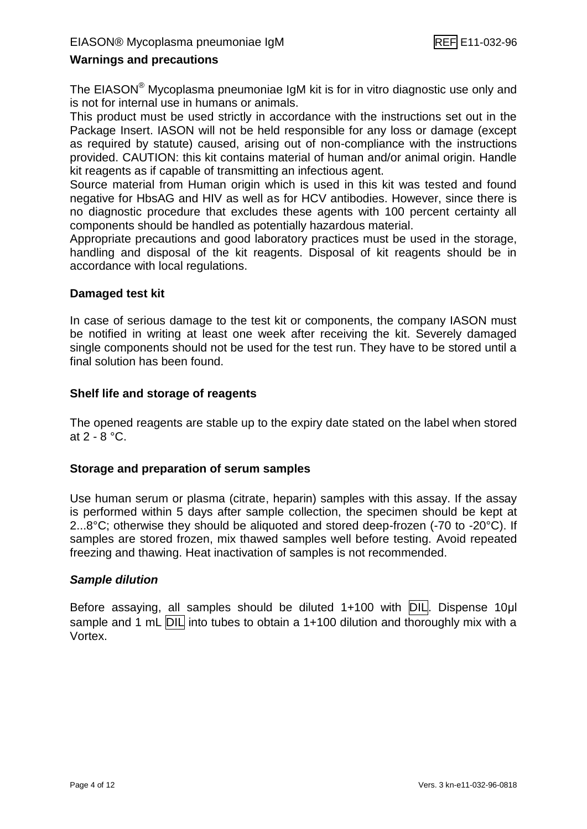#### **Warnings and precautions**

The EIASON® Mycoplasma pneumoniae IgM kit is for in vitro diagnostic use only and is not for internal use in humans or animals.

This product must be used strictly in accordance with the instructions set out in the Package Insert. IASON will not be held responsible for any loss or damage (except as required by statute) caused, arising out of non-compliance with the instructions provided. CAUTION: this kit contains material of human and/or animal origin. Handle kit reagents as if capable of transmitting an infectious agent.

Source material from Human origin which is used in this kit was tested and found negative for HbsAG and HIV as well as for HCV antibodies. However, since there is no diagnostic procedure that excludes these agents with 100 percent certainty all components should be handled as potentially hazardous material.

Appropriate precautions and good laboratory practices must be used in the storage, handling and disposal of the kit reagents. Disposal of kit reagents should be in accordance with local regulations.

#### **Damaged test kit**

In case of serious damage to the test kit or components, the company IASON must be notified in writing at least one week after receiving the kit. Severely damaged single components should not be used for the test run. They have to be stored until a final solution has been found.

#### **Shelf life and storage of reagents**

The opened reagents are stable up to the expiry date stated on the label when stored at 2 - 8 °C.

#### **Storage and preparation of serum samples**

Use human serum or plasma (citrate, heparin) samples with this assay. If the assay is performed within 5 days after sample collection, the specimen should be kept at 2...8°C; otherwise they should be aliquoted and stored deep-frozen (-70 to -20°C). If samples are stored frozen, mix thawed samples well before testing. Avoid repeated freezing and thawing. Heat inactivation of samples is not recommended.

#### *Sample dilution*

Before assaying, all samples should be diluted 1+100 with DIL. Dispense 10µl sample and 1 mL DIL into tubes to obtain a 1+100 dilution and thoroughly mix with a Vortex.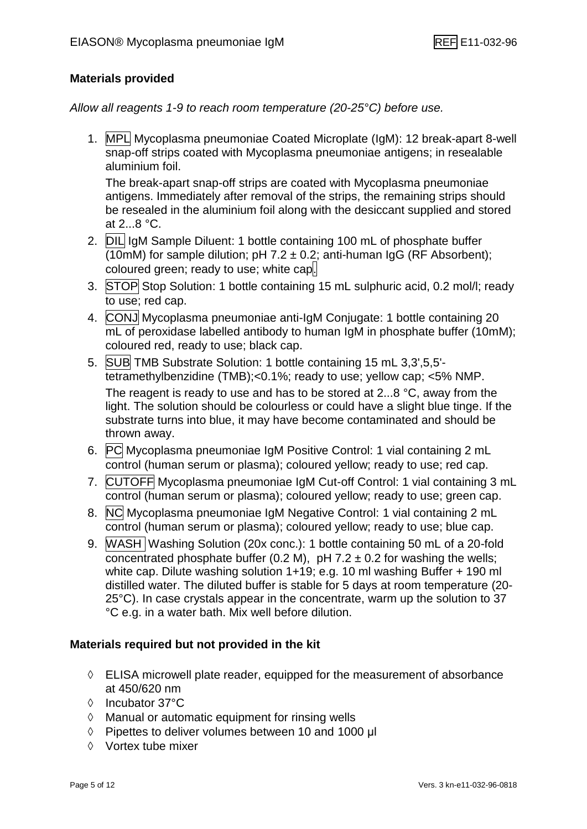#### **Materials provided**

*Allow all reagents 1-9 to reach room temperature (20-25°C) before use.*

1. MPL Mycoplasma pneumoniae Coated Microplate (IgM): 12 break-apart 8-well snap-off strips coated with Mycoplasma pneumoniae antigens; in resealable aluminium foil.

The break-apart snap-off strips are coated with Mycoplasma pneumoniae antigens. Immediately after removal of the strips, the remaining strips should be resealed in the aluminium foil along with the desiccant supplied and stored at 2...8 °C.

- 2. DIL IgM Sample Diluent: 1 bottle containing 100 mL of phosphate buffer (10mM) for sample dilution; pH 7.2  $\pm$  0.2; anti-human IgG (RF Absorbent); coloured green; ready to use; white cap.
- 3. STOP Stop Solution: 1 bottle containing 15 mL sulphuric acid, 0.2 mol/l; ready to use; red cap.
- 4. CONJ Mycoplasma pneumoniae anti-IgM Conjugate: 1 bottle containing 20 mL of peroxidase labelled antibody to human IgM in phosphate buffer (10mM); coloured red, ready to use; black cap.
- 5. SUB TMB Substrate Solution: 1 bottle containing 15 mL 3,3',5,5' tetramethylbenzidine (TMB);<0.1%; ready to use; yellow cap; <5% NMP. The reagent is ready to use and has to be stored at 2...8 °C, away from the light. The solution should be colourless or could have a slight blue tinge. If the substrate turns into blue, it may have become contaminated and should be thrown away.
- 6. PC Mycoplasma pneumoniae IgM Positive Control: 1 vial containing 2 mL control (human serum or plasma); coloured yellow; ready to use; red cap.
- 7. CUTOFF Mycoplasma pneumoniae IgM Cut-off Control: 1 vial containing 3 mL control (human serum or plasma); coloured yellow; ready to use; green cap.
- 8. NC Mycoplasma pneumoniae IgM Negative Control: 1 vial containing 2 mL control (human serum or plasma); coloured yellow; ready to use; blue cap.
- 9. WASH Washing Solution (20x conc.): 1 bottle containing 50 mL of a 20-fold concentrated phosphate buffer (0.2 M), pH 7.2  $\pm$  0.2 for washing the wells; white cap. Dilute washing solution 1+19; e.g. 10 ml washing Buffer + 190 ml distilled water. The diluted buffer is stable for 5 days at room temperature (20- 25°C). In case crystals appear in the concentrate, warm up the solution to 37 °C e.g. in a water bath. Mix well before dilution.

#### **Materials required but not provided in the kit**

- $\Diamond$  ELISA microwell plate reader, equipped for the measurement of absorbance at 450/620 nm
- Incubator 37°C
- $\Diamond$  Manual or automatic equipment for rinsing wells
- $\Diamond$  Pipettes to deliver volumes between 10 and 1000 μl
- $\Diamond$  Vortex tube mixer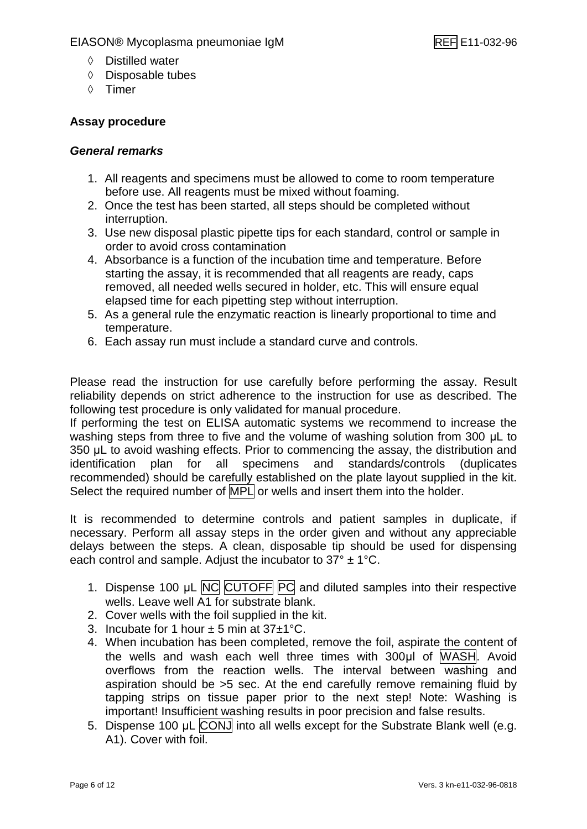- Distilled water
- $\Diamond$  Disposable tubes
- ♦ Timer

#### **Assay procedure**

#### *General remarks*

- 1. All reagents and specimens must be allowed to come to room temperature before use. All reagents must be mixed without foaming.
- 2. Once the test has been started, all steps should be completed without interruption.
- 3. Use new disposal plastic pipette tips for each standard, control or sample in order to avoid cross contamination
- 4. Absorbance is a function of the incubation time and temperature. Before starting the assay, it is recommended that all reagents are ready, caps removed, all needed wells secured in holder, etc. This will ensure equal elapsed time for each pipetting step without interruption.
- 5. As a general rule the enzymatic reaction is linearly proportional to time and temperature.
- 6. Each assay run must include a standard curve and controls.

Please read the instruction for use carefully before performing the assay. Result reliability depends on strict adherence to the instruction for use as described. The following test procedure is only validated for manual procedure.

If performing the test on ELISA automatic systems we recommend to increase the washing steps from three to five and the volume of washing solution from 300 μL to 350 μL to avoid washing effects. Prior to commencing the assay, the distribution and identification plan for all specimens and standards/controls (duplicates recommended) should be carefully established on the plate layout supplied in the kit. Select the required number of MPL or wells and insert them into the holder.

It is recommended to determine controls and patient samples in duplicate, if necessary. Perform all assay steps in the order given and without any appreciable delays between the steps. A clean, disposable tip should be used for dispensing each control and sample. Adjust the incubator to  $37^\circ \pm 1^\circ \text{C}$ .

- 1. Dispense 100 μL NC CUTOFF PC and diluted samples into their respective wells. Leave well A1 for substrate blank.
- 2. Cover wells with the foil supplied in the kit.
- 3. Incubate for 1 hour  $\pm$  5 min at 37 $\pm$ 1°C.
- 4. When incubation has been completed, remove the foil, aspirate the content of the wells and wash each well three times with 300μl of WASH. Avoid overflows from the reaction wells. The interval between washing and aspiration should be >5 sec. At the end carefully remove remaining fluid by tapping strips on tissue paper prior to the next step! Note: Washing is important! Insufficient washing results in poor precision and false results.
- 5. Dispense 100 μL CONJ into all wells except for the Substrate Blank well (e.g. A1). Cover with foil.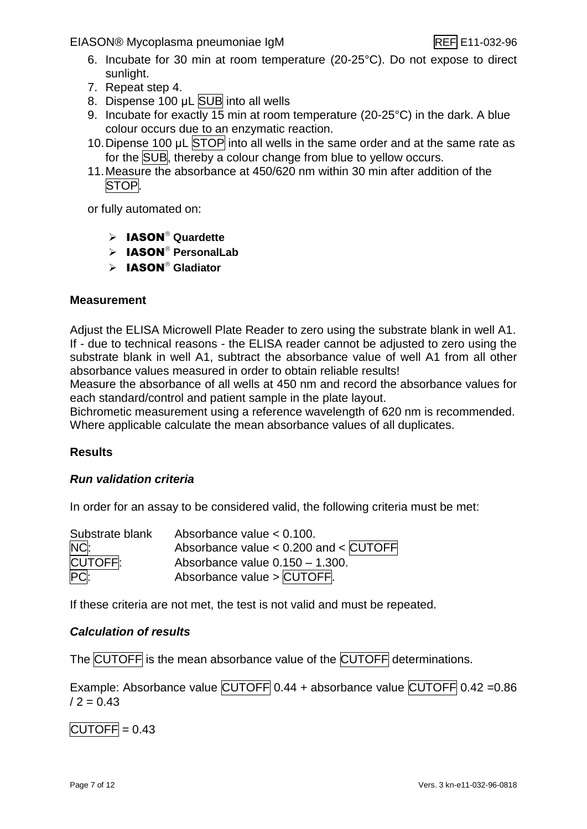EIASON® Mycoplasma pneumoniae IgM REF E11-032-96

- 6. Incubate for 30 min at room temperature (20-25°C). Do not expose to direct sunlight.
- 7. Repeat step 4.
- 8. Dispense 100 μL SUB into all wells
- 9. Incubate for exactly 15 min at room temperature (20-25°C) in the dark. A blue colour occurs due to an enzymatic reaction.
- 10. Dipense 100 μL STOP into all wells in the same order and at the same rate as for the SUB, thereby a colour change from blue to yellow occurs.
- 11.Measure the absorbance at 450/620 nm within 30 min after addition of the STOP.

or fully automated on:

- > **IASON<sup>®</sup>** Quardette
- > **IASON<sup>®</sup> PersonalLab**
- > IASON<sup>®</sup> Gladiator

#### **Measurement**

Adjust the ELISA Microwell Plate Reader to zero using the substrate blank in well A1. If - due to technical reasons - the ELISA reader cannot be adjusted to zero using the substrate blank in well A1, subtract the absorbance value of well A1 from all other absorbance values measured in order to obtain reliable results!

Measure the absorbance of all wells at 450 nm and record the absorbance values for each standard/control and patient sample in the plate layout.

Bichrometic measurement using a reference wavelength of 620 nm is recommended. Where applicable calculate the mean absorbance values of all duplicates.

#### **Results**

#### *Run validation criteria*

In order for an assay to be considered valid, the following criteria must be met:

| Substrate blank | Absorbance value $< 0.100$ .              |
|-----------------|-------------------------------------------|
| NC:             | Absorbance value $< 0.200$ and $<$ CUTOFF |
| CUTOFF:         | Absorbance value $0.150 - 1.300$ .        |
| PC:             | Absorbance value > CUTOFF.                |

If these criteria are not met, the test is not valid and must be repeated.

#### *Calculation of results*

The CUTOFF is the mean absorbance value of the CUTOFF determinations.

Example: Absorbance value CUTOFF 0.44 + absorbance value CUTOFF 0.42 = 0.86  $/ 2 = 0.43$ 

 $CUTOFF = 0.43$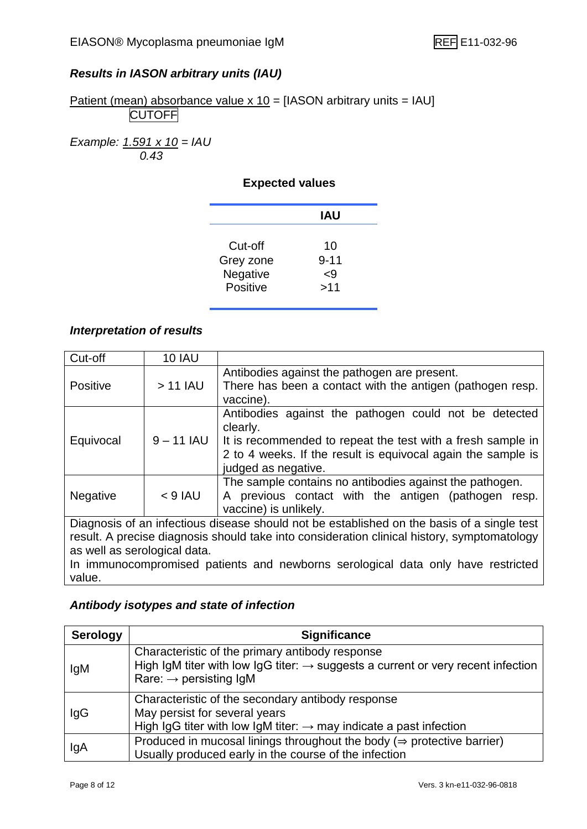#### *Results in IASON arbitrary units (IAU)*

Patient (mean) absorbance value  $x$  10 = [IASON arbitrary units = IAU] **CUTOFF** 

*Example: 1.591 x 10 = IAU 0.43*

#### **Expected values**

|           | IAU      |  |
|-----------|----------|--|
| Cut-off   | 10       |  |
| Grey zone | $9 - 11$ |  |
| Negative  | 9>       |  |
| Positive  | >11      |  |

#### *Interpretation of results*

| Cut-off                      | <b>10 IAU</b> |                                                                                                                                                                                                                         |
|------------------------------|---------------|-------------------------------------------------------------------------------------------------------------------------------------------------------------------------------------------------------------------------|
| <b>Positive</b>              | $> 11$ IAU    | Antibodies against the pathogen are present.<br>There has been a contact with the antigen (pathogen resp.<br>vaccine).                                                                                                  |
| Equivocal                    | $9 - 11$ IAU  | Antibodies against the pathogen could not be detected<br>clearly.<br>It is recommended to repeat the test with a fresh sample in<br>2 to 4 weeks. If the result is equivocal again the sample is<br>judged as negative. |
| Negative                     | $< 9$ IAU     | The sample contains no antibodies against the pathogen.<br>A previous contact with the antigen (pathogen resp.<br>vaccine) is unlikely.                                                                                 |
|                              |               | Diagnosis of an infectious disease should not be established on the basis of a single test                                                                                                                              |
|                              |               | result. A precise diagnosis should take into consideration clinical history, symptomatology                                                                                                                             |
| as well as serological data. |               |                                                                                                                                                                                                                         |
|                              |               | In immunocompromised patients and newberns serplegieal data only bays restricted                                                                                                                                        |

In immunocompromised patients and newborns serological data only have restricted value.

#### *Antibody isotypes and state of infection*

| <b>Serology</b> | <b>Significance</b>                                                                                                                                                                   |
|-----------------|---------------------------------------------------------------------------------------------------------------------------------------------------------------------------------------|
| lgM             | Characteristic of the primary antibody response<br>High IgM titer with low IgG titer: $\rightarrow$ suggests a current or very recent infection<br>Rare: $\rightarrow$ persisting IgM |
| IgG             | Characteristic of the secondary antibody response<br>May persist for several years<br>High IgG titer with low IgM titer: $\rightarrow$ may indicate a past infection                  |
| IgA             | Produced in mucosal linings throughout the body ( $\Rightarrow$ protective barrier)<br>Usually produced early in the course of the infection                                          |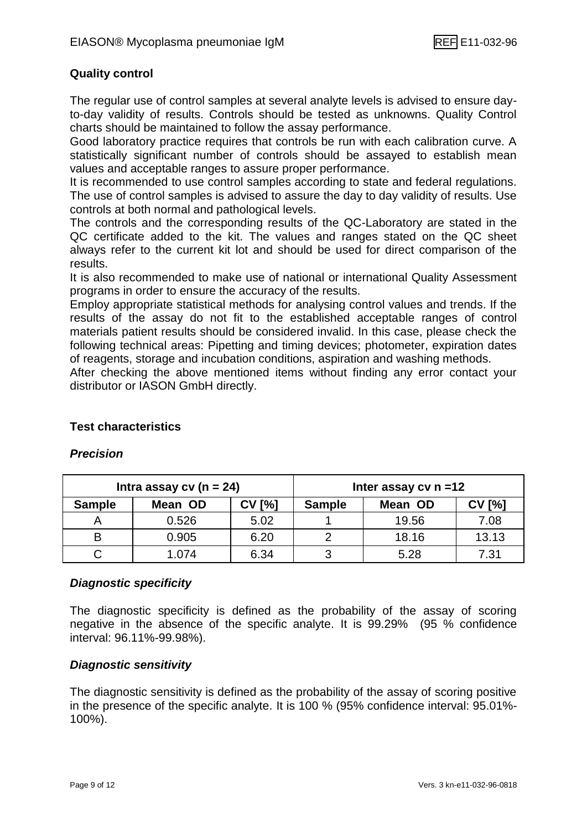#### **Quality control**

The regular use of control samples at several analyte levels is advised to ensure dayto-day validity of results. Controls should be tested as unknowns. Quality Control charts should be maintained to follow the assay performance.

Good laboratory practice requires that controls be run with each calibration curve. A statistically significant number of controls should be assayed to establish mean values and acceptable ranges to assure proper performance.

It is recommended to use control samples according to state and federal regulations. The use of control samples is advised to assure the day to day validity of results. Use controls at both normal and pathological levels.

The controls and the corresponding results of the QC-Laboratory are stated in the QC certificate added to the kit. The values and ranges stated on the QC sheet always refer to the current kit lot and should be used for direct comparison of the results.

It is also recommended to make use of national or international Quality Assessment programs in order to ensure the accuracy of the results.

Employ appropriate statistical methods for analysing control values and trends. If the results of the assay do not fit to the established acceptable ranges of control materials patient results should be considered invalid. In this case, please check the following technical areas: Pipetting and timing devices; photometer, expiration dates of reagents, storage and incubation conditions, aspiration and washing methods.

After checking the above mentioned items without finding any error contact your distributor or IASON GmbH directly.

#### **Intra assay cv (n = 24) Inter assay cv n =12 Sample Mean OD CV [%] Sample Mean OD CV [%]** A | 0.526 | 5.02 | 1 | 19.56 | 7.08 B | 0.905 | 6.20 | 2 | 18.16 | 13.13 C | 1.074 | 6.34 | 3 | 5.28 | 7.31

#### **Test characteristics**

*Precision*

#### *Diagnostic specificity*

The diagnostic specificity is defined as the probability of the assay of scoring negative in the absence of the specific analyte. It is 99.29% (95 % confidence interval: 96.11%-99.98%).

#### *Diagnostic sensitivity*

The diagnostic sensitivity is defined as the probability of the assay of scoring positive in the presence of the specific analyte. It is 100 % (95% confidence interval: 95.01%- 100%).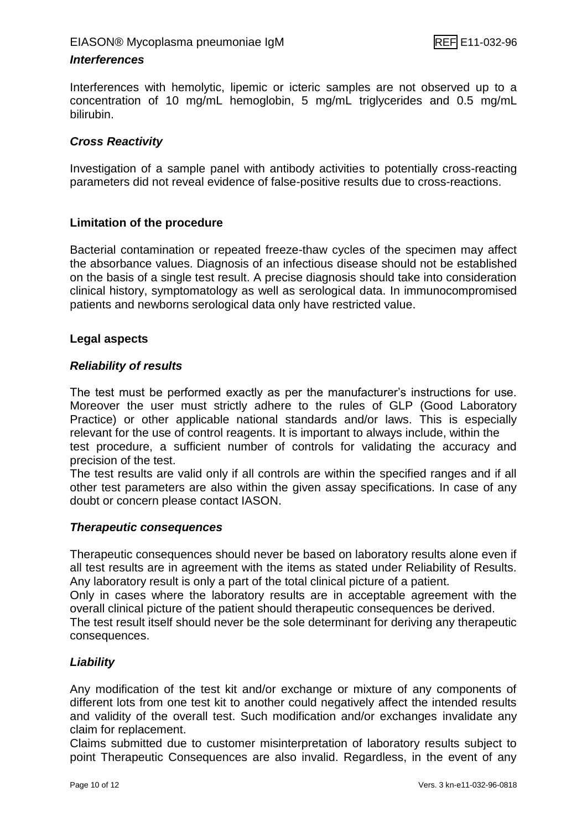#### *Interferences*

Interferences with hemolytic, lipemic or icteric samples are not observed up to a concentration of 10 mg/mL hemoglobin, 5 mg/mL triglycerides and 0.5 mg/mL bilirubin.

#### *Cross Reactivity*

Investigation of a sample panel with antibody activities to potentially cross-reacting parameters did not reveal evidence of false-positive results due to cross-reactions.

#### **Limitation of the procedure**

Bacterial contamination or repeated freeze-thaw cycles of the specimen may affect the absorbance values. Diagnosis of an infectious disease should not be established on the basis of a single test result. A precise diagnosis should take into consideration clinical history, symptomatology as well as serological data. In immunocompromised patients and newborns serological data only have restricted value.

#### **Legal aspects**

#### *Reliability of results*

The test must be performed exactly as per the manufacturer's instructions for use. Moreover the user must strictly adhere to the rules of GLP (Good Laboratory Practice) or other applicable national standards and/or laws. This is especially relevant for the use of control reagents. It is important to always include, within the test procedure, a sufficient number of controls for validating the accuracy and precision of the test.

The test results are valid only if all controls are within the specified ranges and if all other test parameters are also within the given assay specifications. In case of any doubt or concern please contact IASON.

#### *Therapeutic consequences*

Therapeutic consequences should never be based on laboratory results alone even if all test results are in agreement with the items as stated under Reliability of Results. Any laboratory result is only a part of the total clinical picture of a patient.

Only in cases where the laboratory results are in acceptable agreement with the overall clinical picture of the patient should therapeutic consequences be derived.

The test result itself should never be the sole determinant for deriving any therapeutic consequences.

#### *Liability*

Any modification of the test kit and/or exchange or mixture of any components of different lots from one test kit to another could negatively affect the intended results and validity of the overall test. Such modification and/or exchanges invalidate any claim for replacement.

Claims submitted due to customer misinterpretation of laboratory results subject to point Therapeutic Consequences are also invalid. Regardless, in the event of any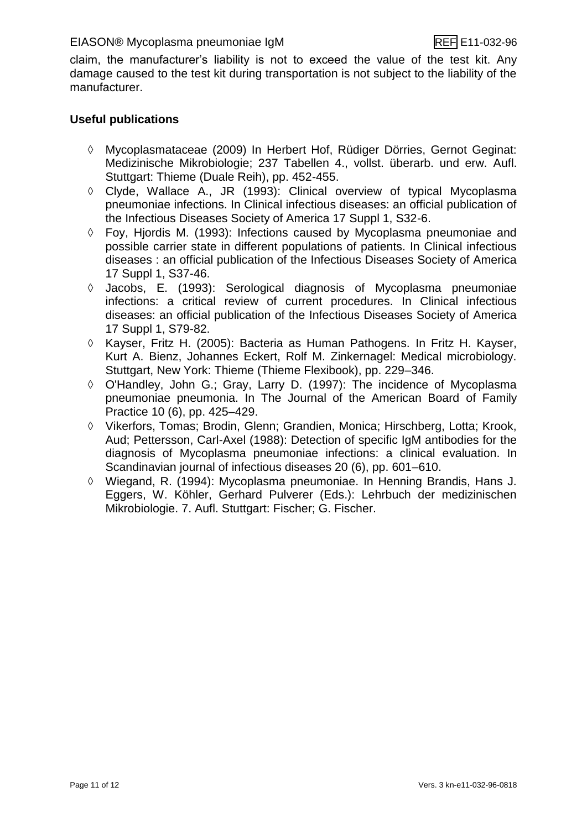claim, the manufacturer's liability is not to exceed the value of the test kit. Any damage caused to the test kit during transportation is not subject to the liability of the manufacturer.

#### **Useful publications**

- Mycoplasmataceae (2009) In Herbert Hof, Rüdiger Dörries, Gernot Geginat: Medizinische Mikrobiologie; 237 Tabellen 4., vollst. überarb. und erw. Aufl. Stuttgart: Thieme (Duale Reih), pp. 452-455.
- $\Diamond$  Clyde, Wallace A., JR (1993): Clinical overview of typical Mycoplasma pneumoniae infections. In Clinical infectious diseases: an official publication of the Infectious Diseases Society of America 17 Suppl 1, S32-6.
- Foy, Hjordis M. (1993): Infections caused by Mycoplasma pneumoniae and possible carrier state in different populations of patients. In Clinical infectious diseases : an official publication of the Infectious Diseases Society of America 17 Suppl 1, S37-46.
- Jacobs, E. (1993): Serological diagnosis of Mycoplasma pneumoniae infections: a critical review of current procedures. In Clinical infectious diseases: an official publication of the Infectious Diseases Society of America 17 Suppl 1, S79-82.
- Kayser, Fritz H. (2005): Bacteria as Human Pathogens. In Fritz H. Kayser, Kurt A. Bienz, Johannes Eckert, Rolf M. Zinkernagel: Medical microbiology. Stuttgart, New York: Thieme (Thieme Flexibook), pp. 229–346.
- O'Handley, John G.; Gray, Larry D. (1997): The incidence of Mycoplasma pneumoniae pneumonia. In The Journal of the American Board of Family Practice 10 (6), pp. 425–429.
- Vikerfors, Tomas; Brodin, Glenn; Grandien, Monica; Hirschberg, Lotta; Krook, Aud; Pettersson, Carl-Axel (1988): Detection of specific IgM antibodies for the diagnosis of Mycoplasma pneumoniae infections: a clinical evaluation. In Scandinavian journal of infectious diseases 20 (6), pp. 601–610.
- Wiegand, R. (1994): Mycoplasma pneumoniae. In Henning Brandis, Hans J. Eggers, W. Köhler, Gerhard Pulverer (Eds.): Lehrbuch der medizinischen Mikrobiologie. 7. Aufl. Stuttgart: Fischer; G. Fischer.